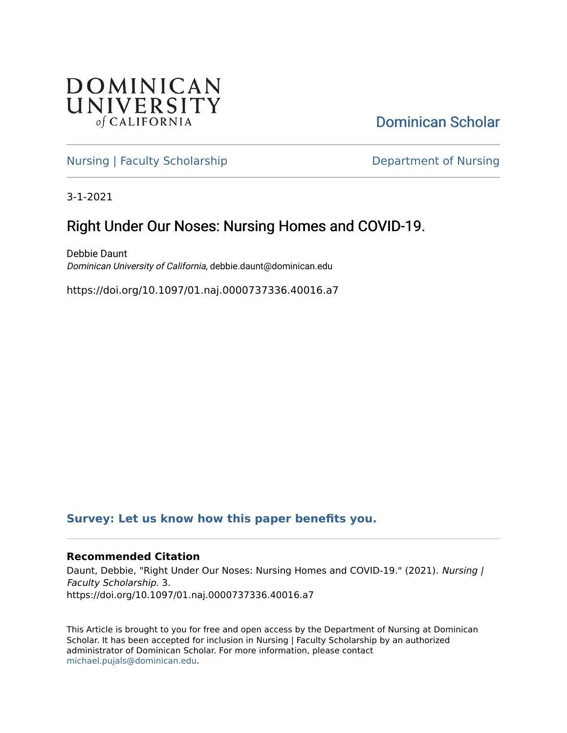

[Dominican Scholar](https://scholar.dominican.edu/) 

[Nursing | Faculty Scholarship](https://scholar.dominican.edu/nursing-faculty-scholarship) **Department of Nursing** 

3-1-2021

## Right Under Our Noses: Nursing Homes and COVID-19.

Debbie Daunt Dominican University of California, debbie.daunt@dominican.edu

https://doi.org/10.1097/01.naj.0000737336.40016.a7

## **[Survey: Let us know how this paper benefits you.](https://dominican.libwizard.com/dominican-scholar-feedback)**

## **Recommended Citation**

Daunt, Debbie, "Right Under Our Noses: Nursing Homes and COVID-19." (2021). Nursing | Faculty Scholarship. 3. https://doi.org/10.1097/01.naj.0000737336.40016.a7

This Article is brought to you for free and open access by the Department of Nursing at Dominican Scholar. It has been accepted for inclusion in Nursing | Faculty Scholarship by an authorized administrator of Dominican Scholar. For more information, please contact [michael.pujals@dominican.edu.](mailto:michael.pujals@dominican.edu)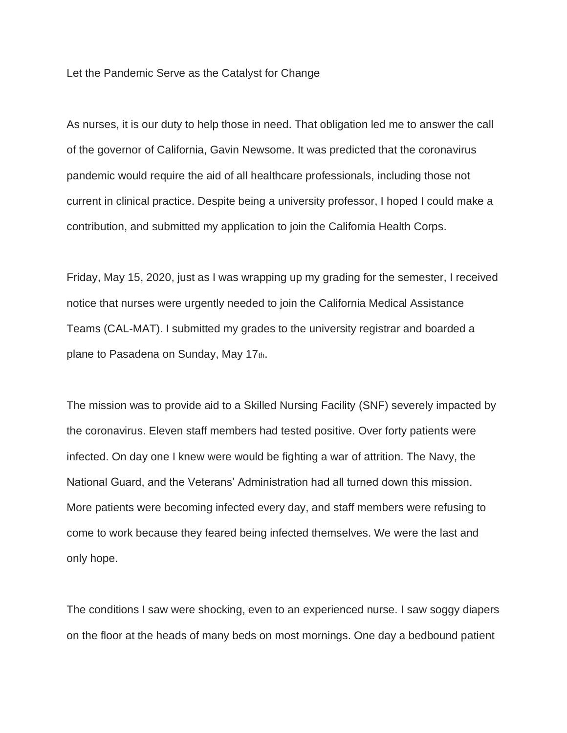Let the Pandemic Serve as the Catalyst for Change

As nurses, it is our duty to help those in need. That obligation led me to answer the call of the governor of California, Gavin Newsome. It was predicted that the coronavirus pandemic would require the aid of all healthcare professionals, including those not current in clinical practice. Despite being a university professor, I hoped I could make a contribution, and submitted my application to join the California Health Corps.

Friday, May 15, 2020, just as I was wrapping up my grading for the semester, I received notice that nurses were urgently needed to join the California Medical Assistance Teams (CAL-MAT). I submitted my grades to the university registrar and boarded a plane to Pasadena on Sunday, May 17th.

The mission was to provide aid to a Skilled Nursing Facility (SNF) severely impacted by the coronavirus. Eleven staff members had tested positive. Over forty patients were infected. On day one I knew were would be fighting a war of attrition. The Navy, the National Guard, and the Veterans' Administration had all turned down this mission. More patients were becoming infected every day, and staff members were refusing to come to work because they feared being infected themselves. We were the last and only hope.

The conditions I saw were shocking, even to an experienced nurse. I saw soggy diapers on the floor at the heads of many beds on most mornings. One day a bedbound patient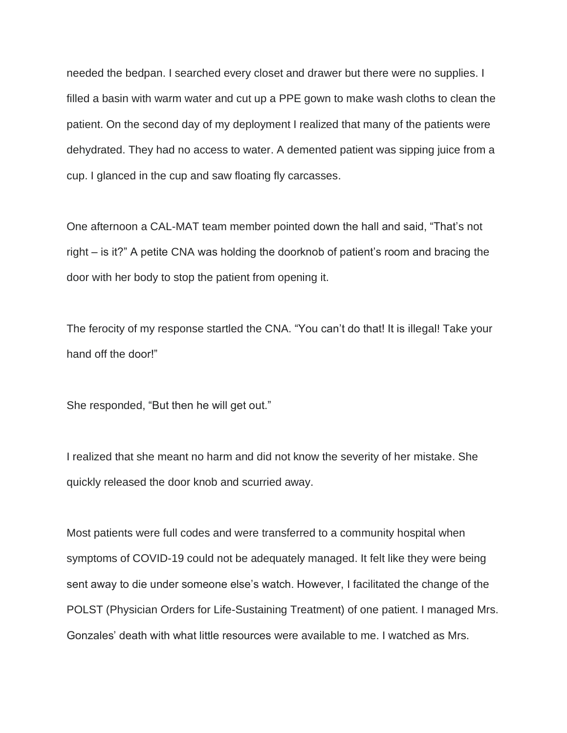needed the bedpan. I searched every closet and drawer but there were no supplies. I filled a basin with warm water and cut up a PPE gown to make wash cloths to clean the patient. On the second day of my deployment I realized that many of the patients were dehydrated. They had no access to water. A demented patient was sipping juice from a cup. I glanced in the cup and saw floating fly carcasses.

One afternoon a CAL-MAT team member pointed down the hall and said, "That's not right – is it?" A petite CNA was holding the doorknob of patient's room and bracing the door with her body to stop the patient from opening it.

The ferocity of my response startled the CNA. "You can't do that! It is illegal! Take your hand off the door!"

She responded, "But then he will get out."

I realized that she meant no harm and did not know the severity of her mistake. She quickly released the door knob and scurried away.

Most patients were full codes and were transferred to a community hospital when symptoms of COVID-19 could not be adequately managed. It felt like they were being sent away to die under someone else's watch. However, I facilitated the change of the POLST (Physician Orders for Life-Sustaining Treatment) of one patient. I managed Mrs. Gonzales' death with what little resources were available to me. I watched as Mrs.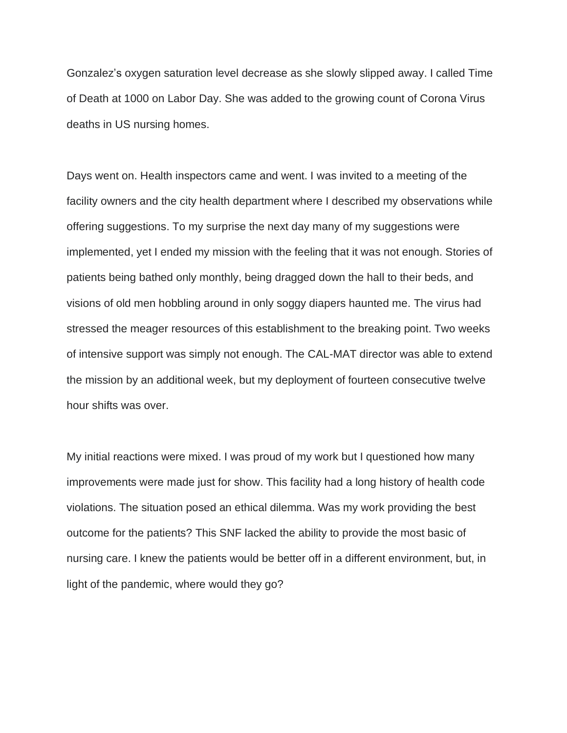Gonzalez's oxygen saturation level decrease as she slowly slipped away. I called Time of Death at 1000 on Labor Day. She was added to the growing count of Corona Virus deaths in US nursing homes.

Days went on. Health inspectors came and went. I was invited to a meeting of the facility owners and the city health department where I described my observations while offering suggestions. To my surprise the next day many of my suggestions were implemented, yet I ended my mission with the feeling that it was not enough. Stories of patients being bathed only monthly, being dragged down the hall to their beds, and visions of old men hobbling around in only soggy diapers haunted me. The virus had stressed the meager resources of this establishment to the breaking point. Two weeks of intensive support was simply not enough. The CAL-MAT director was able to extend the mission by an additional week, but my deployment of fourteen consecutive twelve hour shifts was over.

My initial reactions were mixed. I was proud of my work but I questioned how many improvements were made just for show. This facility had a long history of health code violations. The situation posed an ethical dilemma. Was my work providing the best outcome for the patients? This SNF lacked the ability to provide the most basic of nursing care. I knew the patients would be better off in a different environment, but, in light of the pandemic, where would they go?